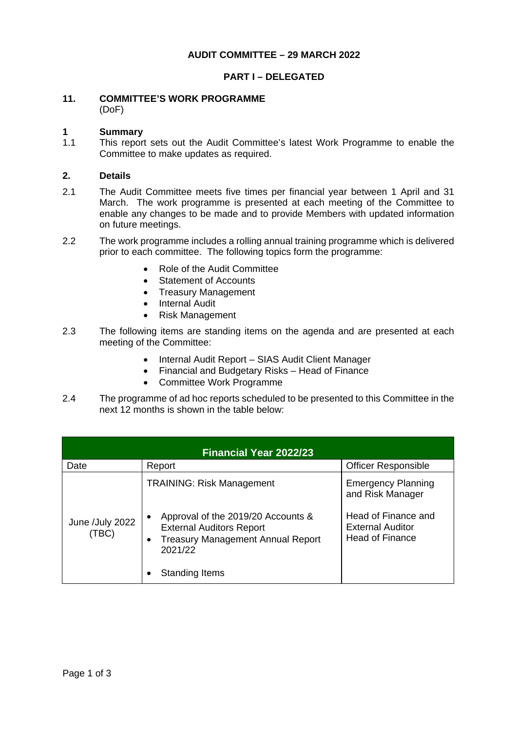## **AUDIT COMMITTEE – 29 MARCH 2022**

### **PART I – DELEGATED**

### **11. COMMITTEE'S WORK PROGRAMME** (DoF)

# **1 Summary**

1.1 This report sets out the Audit Committee's latest Work Programme to enable the Committee to make updates as required.

#### **2. Details**

- 2.1 The Audit Committee meets five times per financial year between 1 April and 31 March. The work programme is presented at each meeting of the Committee to enable any changes to be made and to provide Members with updated information on future meetings.
- 2.2 The work programme includes a rolling annual training programme which is delivered prior to each committee. The following topics form the programme:
	- Role of the Audit Committee
	- Statement of Accounts
	- Treasury Management
	- Internal Audit
	- Risk Management
- 2.3 The following items are standing items on the agenda and are presented at each meeting of the Committee:
	- Internal Audit Report SIAS Audit Client Manager
	- Financial and Budgetary Risks Head of Finance
	- Committee Work Programme
- 2.4 The programme of ad hoc reports scheduled to be presented to this Committee in the next 12 months is shown in the table below:

| <b>Financial Year 2022/23</b> |                                                                                                                                                        |                                                                          |  |
|-------------------------------|--------------------------------------------------------------------------------------------------------------------------------------------------------|--------------------------------------------------------------------------|--|
| Date                          | Report                                                                                                                                                 | <b>Officer Responsible</b>                                               |  |
| June /July 2022<br>(TBC)      | <b>TRAINING: Risk Management</b>                                                                                                                       | <b>Emergency Planning</b><br>and Risk Manager                            |  |
|                               | Approval of the 2019/20 Accounts &<br>$\bullet$<br><b>External Auditors Report</b><br><b>Treasury Management Annual Report</b><br>$\bullet$<br>2021/22 | Head of Finance and<br><b>External Auditor</b><br><b>Head of Finance</b> |  |
|                               | Standing Items                                                                                                                                         |                                                                          |  |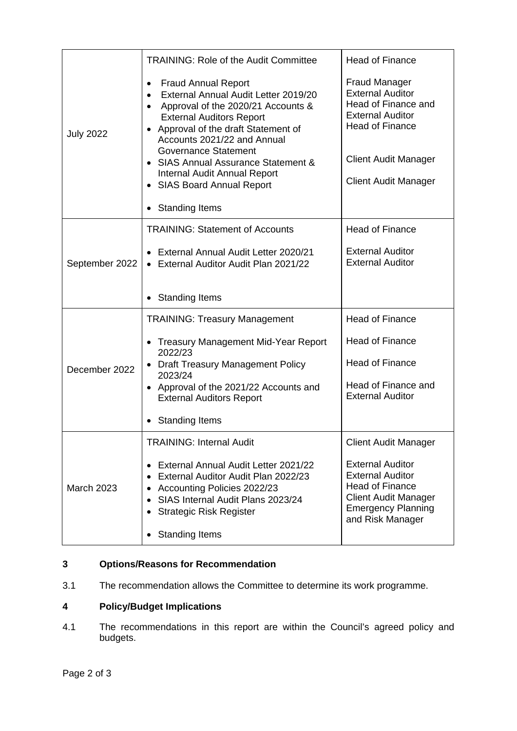| <b>July 2022</b>  | <b>TRAINING: Role of the Audit Committee</b>                                                                                                                                                                                                                         | <b>Head of Finance</b>                                                                                                                                       |
|-------------------|----------------------------------------------------------------------------------------------------------------------------------------------------------------------------------------------------------------------------------------------------------------------|--------------------------------------------------------------------------------------------------------------------------------------------------------------|
|                   | <b>Fraud Annual Report</b><br>$\bullet$<br>External Annual Audit Letter 2019/20<br>$\bullet$<br>Approval of the 2020/21 Accounts &<br>$\bullet$<br><b>External Auditors Report</b><br>Approval of the draft Statement of<br>$\bullet$<br>Accounts 2021/22 and Annual | <b>Fraud Manager</b><br><b>External Auditor</b><br>Head of Finance and<br><b>External Auditor</b><br><b>Head of Finance</b>                                  |
|                   | <b>Governance Statement</b><br><b>SIAS Annual Assurance Statement &amp;</b><br>Internal Audit Annual Report<br>• SIAS Board Annual Report                                                                                                                            | <b>Client Audit Manager</b><br><b>Client Audit Manager</b>                                                                                                   |
|                   | <b>Standing Items</b>                                                                                                                                                                                                                                                |                                                                                                                                                              |
| September 2022    | <b>TRAINING: Statement of Accounts</b>                                                                                                                                                                                                                               | <b>Head of Finance</b>                                                                                                                                       |
|                   | External Annual Audit Letter 2020/21<br>• External Auditor Audit Plan 2021/22                                                                                                                                                                                        | <b>External Auditor</b><br><b>External Auditor</b>                                                                                                           |
|                   | <b>Standing Items</b>                                                                                                                                                                                                                                                |                                                                                                                                                              |
| December 2022     | <b>TRAINING: Treasury Management</b>                                                                                                                                                                                                                                 | <b>Head of Finance</b>                                                                                                                                       |
|                   | • Treasury Management Mid-Year Report<br>2022/23                                                                                                                                                                                                                     | <b>Head of Finance</b>                                                                                                                                       |
|                   | <b>Draft Treasury Management Policy</b><br>2023/24                                                                                                                                                                                                                   | <b>Head of Finance</b>                                                                                                                                       |
|                   | Approval of the 2021/22 Accounts and<br>$\bullet$<br><b>External Auditors Report</b>                                                                                                                                                                                 | Head of Finance and<br><b>External Auditor</b>                                                                                                               |
|                   | <b>Standing Items</b>                                                                                                                                                                                                                                                |                                                                                                                                                              |
| <b>March 2023</b> | <b>TRAINING: Internal Audit</b>                                                                                                                                                                                                                                      | <b>Client Audit Manager</b>                                                                                                                                  |
|                   | External Annual Audit Letter 2021/22<br>$\bullet$<br>External Auditor Audit Plan 2022/23<br><b>Accounting Policies 2022/23</b><br>SIAS Internal Audit Plans 2023/24<br><b>Strategic Risk Register</b><br>٠                                                           | <b>External Auditor</b><br><b>External Auditor</b><br><b>Head of Finance</b><br><b>Client Audit Manager</b><br><b>Emergency Planning</b><br>and Risk Manager |
|                   | <b>Standing Items</b><br>٠                                                                                                                                                                                                                                           |                                                                                                                                                              |

# **3 Options/Reasons for Recommendation**

3.1 The recommendation allows the Committee to determine its work programme.

# **4 Policy/Budget Implications**

4.1 The recommendations in this report are within the Council's agreed policy and budgets.